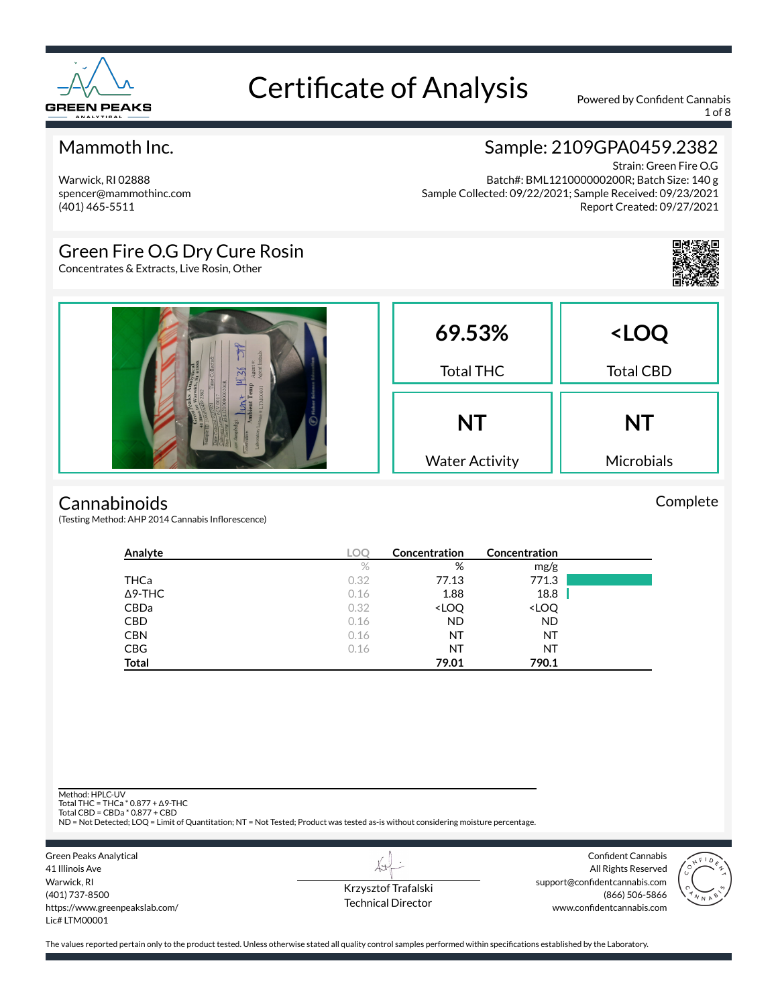

1 of 8

#### Mammoth Inc.

Warwick, RI 02888 spencer@mammothinc.com (401) 465-5511

#### Sample: 2109GPA0459.2382

Strain: Green Fire O.G Batch#: BML121000000200R; Batch Size: 140 g Sample Collected: 09/22/2021; Sample Received: 09/23/2021 Report Created: 09/27/2021

#### Green Fire O.G Dry Cure Rosin

Concentrates & Extracts, Live Rosin, Other



#### **Cannabinoids**

(Testing Method: AHP 2014 Cannabis Inflorescence)

| Analyte        | <b>LOC</b> | Concentration                                            | Concentration                |  |
|----------------|------------|----------------------------------------------------------|------------------------------|--|
|                | $\%$       | %                                                        | mg/g                         |  |
| THCa           | 0.32       | 77.13                                                    | 771.3                        |  |
| $\Delta$ 9-THC | 0.16       | 1.88                                                     | 18.8                         |  |
| <b>CBDa</b>    | 0.32       | <loq< th=""><th><loq< th=""><th></th></loq<></th></loq<> | <loq< th=""><th></th></loq<> |  |
| <b>CBD</b>     | 0.16       | <b>ND</b>                                                | <b>ND</b>                    |  |
| <b>CBN</b>     | 0.16       | NT                                                       | NT                           |  |
| <b>CBG</b>     | 0.16       | NT                                                       | NT                           |  |
| <b>Total</b>   |            | 79.01                                                    | 790.1                        |  |

Method: HPLC-UV

Total THC = THCa \* 0.877 + ∆9-THC Total CBD = CBDa \* 0.877 + CBD

ND = Not Detected; LOQ = Limit of Quantitation; NT = Not Tested; Product was tested as-is without considering moisture percentage.

| Green Peaks Analytical         |
|--------------------------------|
| 41 Illinois Ave                |
| Warwick, RI                    |
| (401) 737-8500                 |
| https://www.greenpeakslab.com/ |
| $l$ ic# $l$ TM00001            |
|                                |

Krzysztof Trafalski Technical Director

LI

Confident Cannabis All Rights Reserved support@confidentcannabis.com (866) 506-5866 www.confidentcannabis.com



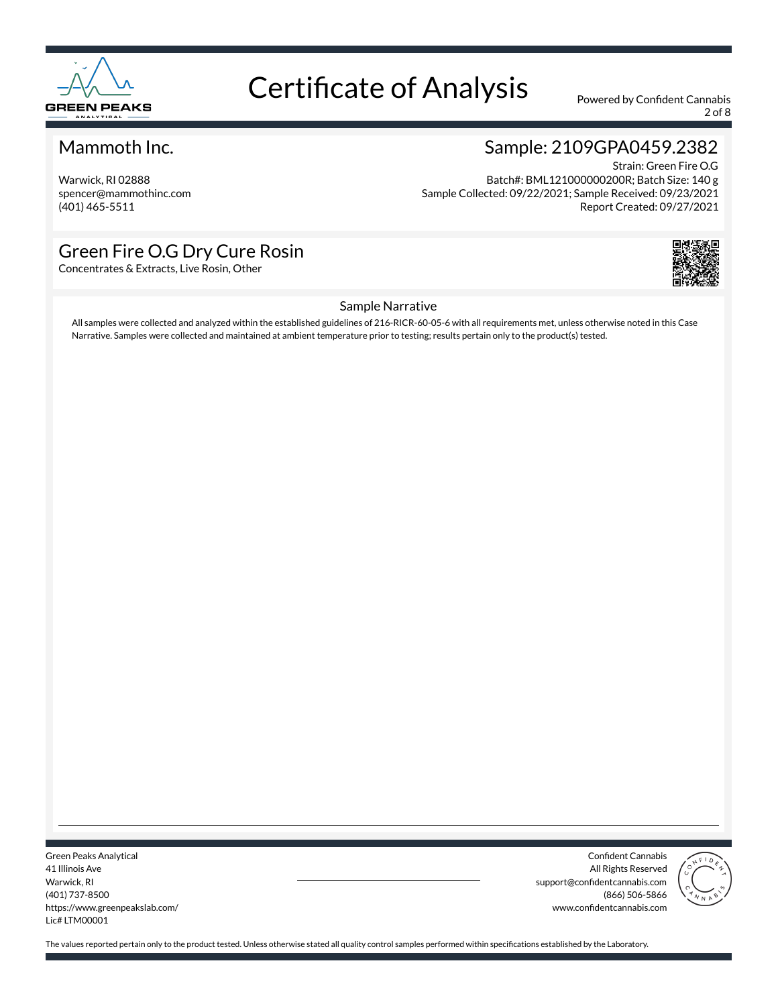

2 of 8

#### Mammoth Inc.

Warwick, RI 02888 spencer@mammothinc.com (401) 465-5511

#### Sample: 2109GPA0459.2382

Strain: Green Fire O.G Batch#: BML121000000200R; Batch Size: 140 g Sample Collected: 09/22/2021; Sample Received: 09/23/2021 Report Created: 09/27/2021

#### Green Fire O.G Dry Cure Rosin

Concentrates & Extracts, Live Rosin, Other



#### Sample Narrative

All samples were collected and analyzed within the established guidelines of 216-RICR-60-05-6 with all requirements met, unless otherwise noted in this Case Narrative. Samples were collected and maintained at ambient temperature prior to testing; results pertain only to the product(s) tested.

Green Peaks Analytical 41 Illinois Ave Warwick, RI (401) 737-8500 https://www.greenpeakslab.com/ Lic# LTM00001

Confident Cannabis All Rights Reserved support@confidentcannabis.com (866) 506-5866 www.confidentcannabis.com

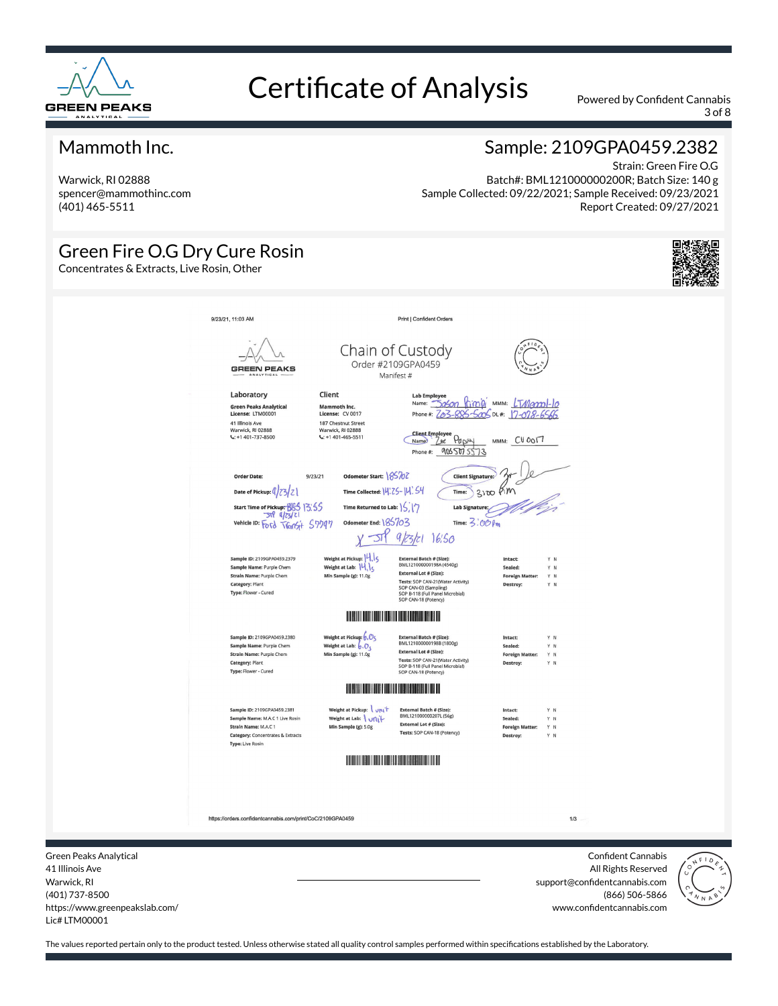

3 of 8

#### Mammoth Inc.

Warwick, RI 02888 spencer@mammothinc.com (401) 465-5511

#### Sample: 2109GPA0459.2382

Strain: Green Fire O.G Batch#: BML121000000200R; Batch Size: 140 g Sample Collected: 09/22/2021; Sample Received: 09/23/2021 Report Created: 09/27/2021

#### Green Fire O.G Dry Cure Rosin Concentrates & Extracts, Live Rosin, Other 9/23/21, 11:03 AM Print | Confident Orders Chain of Custody Order #2109GPA0459 GREEN PEAKS Manifest # Lab Employee<br>Name: <u>- Dagon Rimin'</u> MMM: <u>LTMannol-lo</u><br>Phone #: <u>Za3-885-500</u>5 DL#: <u>17-078-6566</u> Laboratory Client Green Peaks Analytical<br>License: LTM00001 Mammoth Inc.<br>License: CV 0017 41 Illinois Ave<br>Warwick, RI 02888<br>L: +1 401-737-8500 187 Chestnut Street<br>Warwick, RI 02888<br>C: +1 401-465-5511 Client Employee<br>Name: 2st Papey MMM: CUOOI7 Phone#: 9065075573 Order Date  $9/23/21$ Odometer Start: 185707 **Client Sig** Date of Pickup:  $\left(\frac{1}{2}Z\right)Z$ Time Collected: 14: ZS-14'. S4  $3000$  Km Time: Start Time of Pickup: 665 13:55 Time Returned to Lab:  $|\zeta||\gamma$ Lab Sign  $-50$  $q|z|z|$ vehicle ID: Ford TVGINSI+ 57797 Odometer End: 185703 Time:  $3:000$  $\pi$ 9/23/21 16:50 Weight at Pickup: 4 Sample ID: 2109GPA0459.2379 External Batch # (Size):<br>BML121000000198A (4540g) Weight at Lab: 14,15 Sample Name: Purple Chem External Lot # (Size): Strain Name: Purple Chem Min Sample (g): 11.0g Foreign Tests: SOP CAN-21(Water Activity)<br>SOP CAN-03 (Sampling)<br>SOP B-118 (Full Panel Microbial)<br>SOP B-118 (Full Panel Microbial) Category: Plant Type: Flower - Cured **THE REAL PROPERTY AND REAL PROPERTY** Sample ID: 2109GPA0459.2380 Weight at Pickup:  $\overline{\mathfrak{b}}$  ,  $\overline{\mathcal{O}}$   $\zeta$ E<mark>xternal Batch # (Size):</mark><br>BML121000000198B (1800g) Intact: Weight at Lab:  $\overline{6}$ ,  $\overline{O}_5$ <br>Min Sample (g): 11.0g Sample Name: Purple Chem Sealed: Y N **External Lot # (Size):** Strain Name: Purple Chem **Foreign Mat** YN External Lot # (Size),<br>Tests: SOP CAN-21(Water Activity)<br>SOP B-118 (Full Panel Microbial)<br>SOP CAN-18 (Potency) Category: Plant Type: Flower - Cured **THE REAL PROPERTY OF PERSON** Sample ID: 2109GPA0459.2381 Weight at Pickup: vnit **External Batch # (Size):**<br>BML121000000207L (56g) Sample Name: M.A.C 1 Live Rosin Weight at Lab: \ uni+ External Lot # (Size): Strain Name: M.A.C.1 Min Sample (g): 5.0g Y N Tests: SOP CAN-18 (Potency) Category: Concentrates & Extracts Type: Live Rosin https://orders.confidentcannabis.com/print/CoC/2109GPA0459  $1/3$ Green Peaks Analytical Confident Cannabis 41 Illinois Ave All Rights Reserved support@confidentcannabis.com



(866) 506-5866

www.confidentcannabis.com

Warwick, RI (401) 737-8500 https://www.greenpeakslab.com/ Lic# LTM00001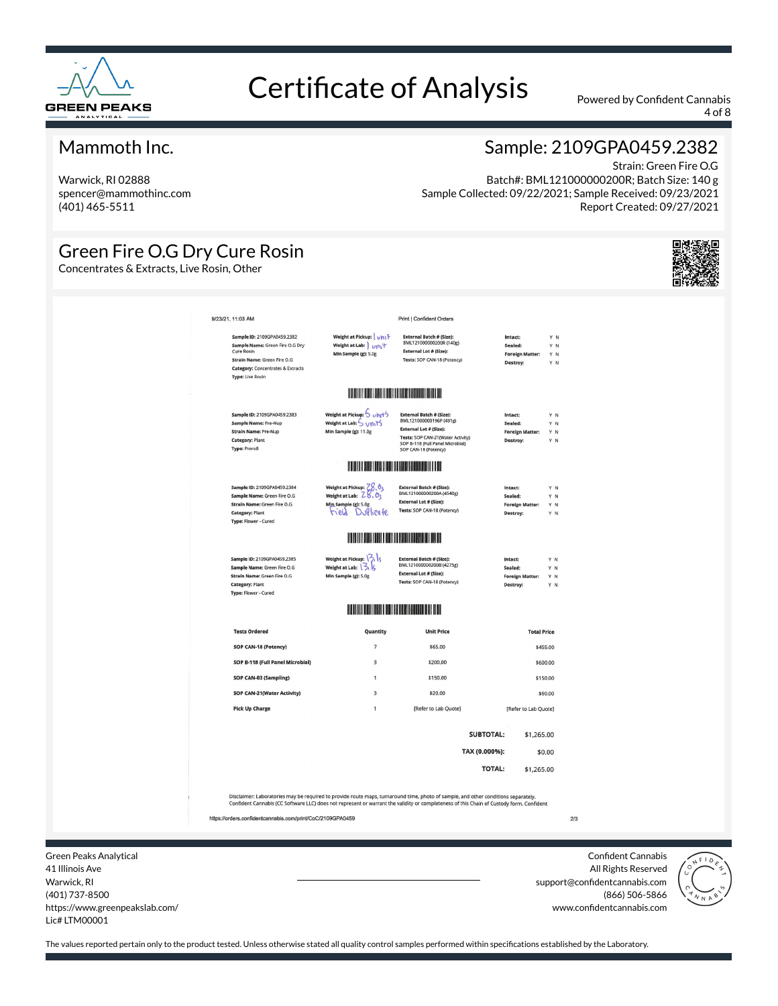

4 of 8

#### Mammoth Inc.

Warwick, RI 02888 spencer@mammothinc.com (401) 465-5511

Green Fire O.G Dry Cure Rosin

Concentrates & Extracts, Live Rosin, Other

#### Sample: 2109GPA0459.2382

Strain: Green Fire O.G Batch#: BML121000000200R; Batch Size: 140 g Sample Collected: 09/22/2021; Sample Received: 09/23/2021 Report Created: 09/27/2021

| 9/23/21, 11:03 AM |                                                                                                                                                                                               |                                                                                                                         | <b>Print   Confident Orders</b>                                                                                                                                                       |                                                          |                          |     |
|-------------------|-----------------------------------------------------------------------------------------------------------------------------------------------------------------------------------------------|-------------------------------------------------------------------------------------------------------------------------|---------------------------------------------------------------------------------------------------------------------------------------------------------------------------------------|----------------------------------------------------------|--------------------------|-----|
|                   | Sample ID: 2109GPA0459.2382<br>Sample Name: Green Fire O.G Dry<br><b>Cure Rosin</b><br>Strain Name: Green Fire O.G<br><b>Category: Concentrates &amp; Extracts</b><br><b>Type: Live Rosin</b> | Weight at Pickup:   vhi <sup>1</sup><br>Weight at Lab: Unit<br>Min Sample (g): 5.0g                                     | <b>External Batch # (Size):</b><br>BML121000000200R (140g)<br><b>External Lot # (Size):</b><br>Tests: SOP CAN-18 (Potency)                                                            | Intact:<br>Sealed:<br><b>Foreign Matter:</b><br>Destroy: | YN<br>Y N<br>YN<br>Y N   |     |
|                   |                                                                                                                                                                                               | <b>THE REAL PROPERTY OF PERSON</b>                                                                                      |                                                                                                                                                                                       |                                                          |                          |     |
|                   | Sample ID: 2109GPA0459.2383<br>Sample Name: Pre-Nup<br><b>Strain Name: Pre-Nup</b><br><b>Category: Plant</b><br><b>Type: Preroll</b>                                                          | Weight at Pickup: 5 uhrt5<br>Weight at Lab: 5 Units<br>Min Sample (g): 11.0g                                            | <b>External Batch # (Size):</b><br>BML121000000196P (491g)<br>External Lot # (Size):<br>Tests: SOP CAN-21(Water Activity)<br>SOP B-118 (Full Panel Microbial)<br>SOP CAN-18 (Potency) | Intact:<br>Sealed:<br><b>Foreign Matter:</b><br>Destroy: | Y N<br>Y N<br>Y N<br>Y N |     |
|                   |                                                                                                                                                                                               | <b>BUILDING THE REAL PROPERTY OF A REAL PROPERTY OF A</b>                                                               |                                                                                                                                                                                       |                                                          |                          |     |
|                   | Sample ID: 2109GPA0459.2384<br>Sample Name: Green Fire O.G<br>Strain Name: Green Fire O.G<br><b>Category: Plant</b><br>Type: Flower - Cured                                                   | Weight at Pickup: $\frac{78.0}{5}$<br>Weight at Lab: $\frac{28.0}{5}$<br>Min Sample (g): 5.0g<br><b>Field DuPlicate</b> | <b>External Batch # (Size):</b><br>BML121000000200A (4540g)<br><b>External Lot # (Size):</b><br>Tests: SOP CAN-18 (Potency)                                                           | Intact:<br>Sealed:<br><b>Foreign Matter:</b><br>Destroy: | Y N<br>YN<br>Y N<br>YN   |     |
|                   |                                                                                                                                                                                               |                                                                                                                         |                                                                                                                                                                                       |                                                          |                          |     |
|                   | Sample ID: 2109GPA0459.2385<br>Sample Name: Green Fire O.G<br>Strain Name: Green Fire O.G<br><b>Category: Plant</b><br>Type: Flower - Cured                                                   | Weight at Pickup: $\binom{3}{1}$<br>Weight at Lab: 3, 5<br>Min Sample (g): 5.0g                                         | <b>External Batch # (Size):</b><br>BML121000000200B (4275g)<br><b>External Lot # (Size):</b><br>Tests: SOP CAN-18 (Potency)                                                           | Intact:<br>Sealed:<br><b>Foreign Matter:</b><br>Destroy: | YN<br>Y N<br>Y N<br>Y N  |     |
|                   |                                                                                                                                                                                               | <b>HERE IS NO BEEN DISPLACED IN THE</b>                                                                                 |                                                                                                                                                                                       |                                                          |                          |     |
|                   | <b>Tests Ordered</b>                                                                                                                                                                          | Quantity                                                                                                                | <b>Unit Price</b>                                                                                                                                                                     |                                                          | <b>Total Price</b>       |     |
|                   | SOP CAN-18 (Potency)                                                                                                                                                                          | $\overline{7}$                                                                                                          | \$65.00                                                                                                                                                                               |                                                          | \$455.00                 |     |
|                   | SOP B-118 (Full Panel Microbial)                                                                                                                                                              | 3<br>$\mathbf{1}$                                                                                                       | \$200.00                                                                                                                                                                              |                                                          | \$600.00                 |     |
|                   | SOP CAN-03 (Sampling)<br>SOP CAN-21(Water Activity)                                                                                                                                           | 3                                                                                                                       | \$150.00<br>\$20.00                                                                                                                                                                   |                                                          | \$150.00<br>\$60.00      |     |
|                   | <b>Pick Up Charge</b>                                                                                                                                                                         | $\mathbf{1}$                                                                                                            | [Refer to Lab Quote]                                                                                                                                                                  |                                                          | [Refer to Lab Quote]     |     |
|                   |                                                                                                                                                                                               |                                                                                                                         |                                                                                                                                                                                       | <b>SUBTOTAL:</b>                                         | \$1,265.00               |     |
|                   |                                                                                                                                                                                               |                                                                                                                         |                                                                                                                                                                                       | TAX (0.000%):                                            | \$0.00                   |     |
|                   |                                                                                                                                                                                               |                                                                                                                         |                                                                                                                                                                                       | <b>TOTAL:</b>                                            | \$1,265.00               |     |
|                   | Disclaimer: Laboratories may be required to provide route maps, turnaround time, photo of sample, and other conditions separately.                                                            |                                                                                                                         |                                                                                                                                                                                       |                                                          |                          |     |
|                   | Confident Cannabis (CC Software LLC) does not represent or warrant the validity or completeness of this Chain of Custody form. Confident                                                      |                                                                                                                         |                                                                                                                                                                                       |                                                          |                          |     |
|                   | https://orders.confidentcannabis.com/print/CoC/2109GPA0459                                                                                                                                    |                                                                                                                         |                                                                                                                                                                                       |                                                          |                          | 2/3 |

Green Peaks Analytical 41 Illinois Ave Warwick, RI (401) 737-8500 https://www.greenpeakslab.com/ Lic# LTM00001

Confident Cannabis All Rights Reserved support@confidentcannabis.com (866) 506-5866 www.confidentcannabis.com

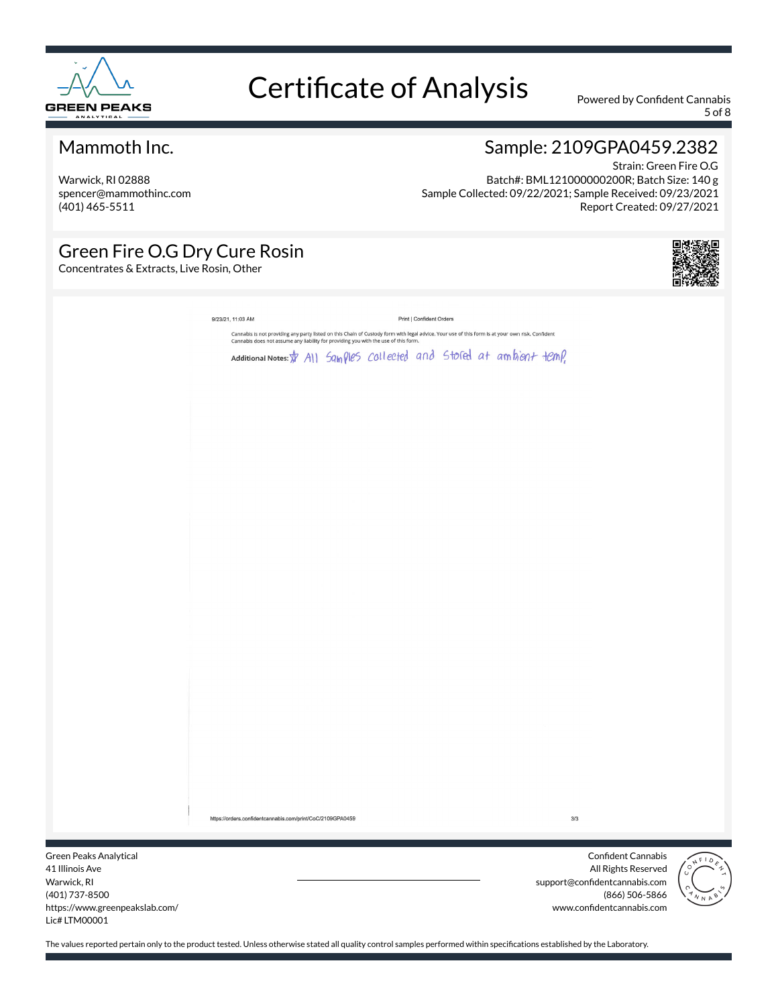

5 of 8

#### Mammoth Inc.

Warwick, RI 02888 spencer@mammothinc.com (401) 465-5511

#### Sample: 2109GPA0459.2382

Strain: Green Fire O.G Batch#: BML121000000200R; Batch Size: 140 g Sample Collected: 09/22/2021; Sample Received: 09/23/2021 Report Created: 09/27/2021

#### Green Fire O.G Dry Cure Rosin

Concentrates & Extracts, Live Rosin, Other



|                 | 9/23/21, 11:03 AM                                                                                                                                                                                                                 |  | Print   Confident Orders |     |                    |              |
|-----------------|-----------------------------------------------------------------------------------------------------------------------------------------------------------------------------------------------------------------------------------|--|--------------------------|-----|--------------------|--------------|
|                 | Cannabis is not providing any party listed on this Chain of Custody form with legal advice. Your use of this form is at your own risk. Confident<br>Cannabis does not assume any liability for providing you with the use of this |  |                          |     |                    |              |
|                 | Additional Notes: \$ All Samples collected and stored at ambient temp.                                                                                                                                                            |  |                          |     |                    |              |
|                 |                                                                                                                                                                                                                                   |  |                          |     |                    |              |
|                 |                                                                                                                                                                                                                                   |  |                          |     |                    |              |
|                 |                                                                                                                                                                                                                                   |  |                          |     |                    |              |
|                 |                                                                                                                                                                                                                                   |  |                          |     |                    |              |
|                 |                                                                                                                                                                                                                                   |  |                          |     |                    |              |
|                 |                                                                                                                                                                                                                                   |  |                          |     |                    |              |
|                 |                                                                                                                                                                                                                                   |  |                          |     |                    |              |
|                 |                                                                                                                                                                                                                                   |  |                          |     |                    |              |
|                 |                                                                                                                                                                                                                                   |  |                          |     |                    |              |
|                 |                                                                                                                                                                                                                                   |  |                          |     |                    |              |
|                 |                                                                                                                                                                                                                                   |  |                          |     |                    |              |
|                 |                                                                                                                                                                                                                                   |  |                          |     |                    |              |
|                 |                                                                                                                                                                                                                                   |  |                          |     |                    |              |
|                 |                                                                                                                                                                                                                                   |  |                          |     |                    |              |
|                 |                                                                                                                                                                                                                                   |  |                          |     |                    |              |
|                 |                                                                                                                                                                                                                                   |  |                          |     |                    |              |
|                 |                                                                                                                                                                                                                                   |  |                          |     |                    |              |
|                 |                                                                                                                                                                                                                                   |  |                          |     |                    |              |
|                 |                                                                                                                                                                                                                                   |  |                          |     |                    |              |
|                 |                                                                                                                                                                                                                                   |  |                          |     |                    |              |
|                 |                                                                                                                                                                                                                                   |  |                          |     |                    |              |
|                 |                                                                                                                                                                                                                                   |  |                          |     |                    |              |
|                 |                                                                                                                                                                                                                                   |  |                          |     |                    |              |
|                 |                                                                                                                                                                                                                                   |  |                          |     |                    |              |
|                 |                                                                                                                                                                                                                                   |  |                          |     |                    |              |
|                 | https://orders.confidentcannabis.com/print/CoC/2109GPA0459                                                                                                                                                                        |  |                          | 3/3 |                    |              |
|                 |                                                                                                                                                                                                                                   |  |                          |     |                    |              |
| eaks Analytical |                                                                                                                                                                                                                                   |  |                          |     | Confident Cannabis |              |
|                 |                                                                                                                                                                                                                                   |  |                          |     |                    | $\sqrt{F10}$ |

Green P 41 Illinois Ave Warwick, RI (401) 737-8500 https://www.greenpeakslab.com/ Lic# LTM00001

All Rights Reserved support@confidentcannabis.com (866) 506-5866 www.confidentcannabis.com

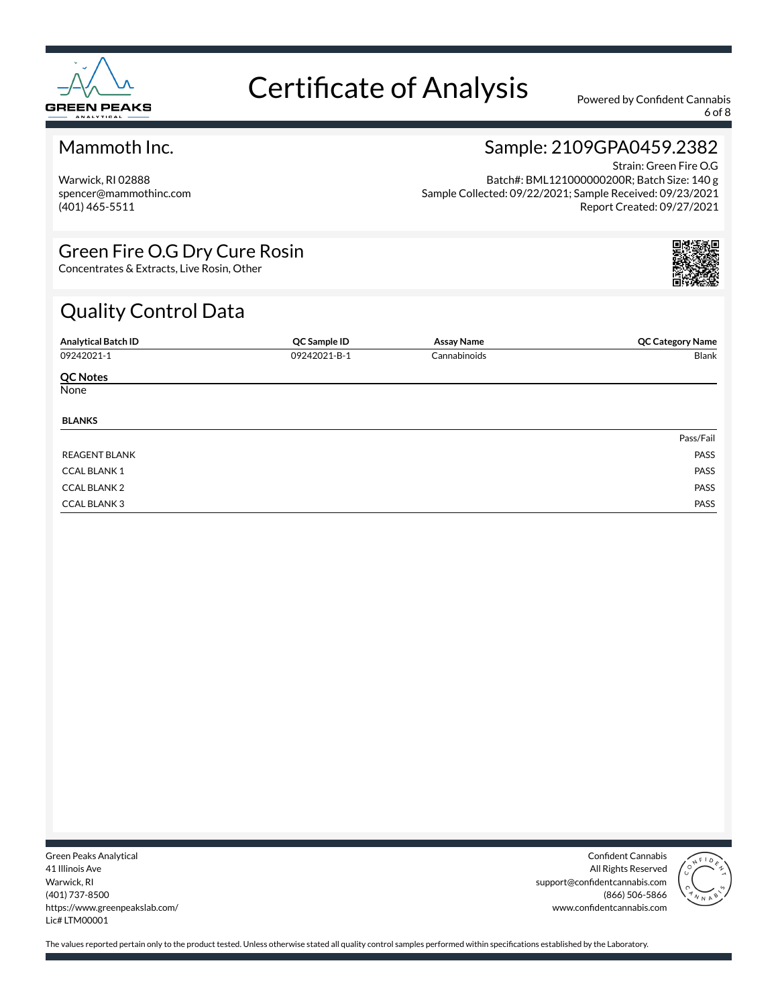

6 of 8

#### Mammoth Inc.

Warwick, RI 02888 spencer@mammothinc.com (401) 465-5511

#### Sample: 2109GPA0459.2382

Strain: Green Fire O.G Batch#: BML121000000200R; Batch Size: 140 g Sample Collected: 09/22/2021; Sample Received: 09/23/2021 Report Created: 09/27/2021

#### Green Fire O.G Dry Cure Rosin

Concentrates & Extracts, Live Rosin, Other

### Quality Control Data

| <b>Analytical Batch ID</b> | QC Sample ID | <b>Assay Name</b> | <b>QC Category Name</b> |
|----------------------------|--------------|-------------------|-------------------------|
| 09242021-1                 | 09242021-B-1 | Cannabinoids      | Blank                   |
| <b>QC Notes</b>            |              |                   |                         |
| None                       |              |                   |                         |
| <b>BLANKS</b>              |              |                   |                         |
|                            |              |                   | Pass/Fail               |
| <b>REAGENT BLANK</b>       |              |                   | PASS                    |
| <b>CCAL BLANK1</b>         |              |                   | PASS                    |
| <b>CCAL BLANK 2</b>        |              |                   | PASS                    |
| <b>CCAL BLANK 3</b>        |              |                   | PASS                    |

Green Peaks Analytical 41 Illinois Ave Warwick, RI (401) 737-8500 https://www.greenpeakslab.com/ Lic# LTM00001

Confident Cannabis All Rights Reserved support@confidentcannabis.com (866) 506-5866 www.confidentcannabis.com

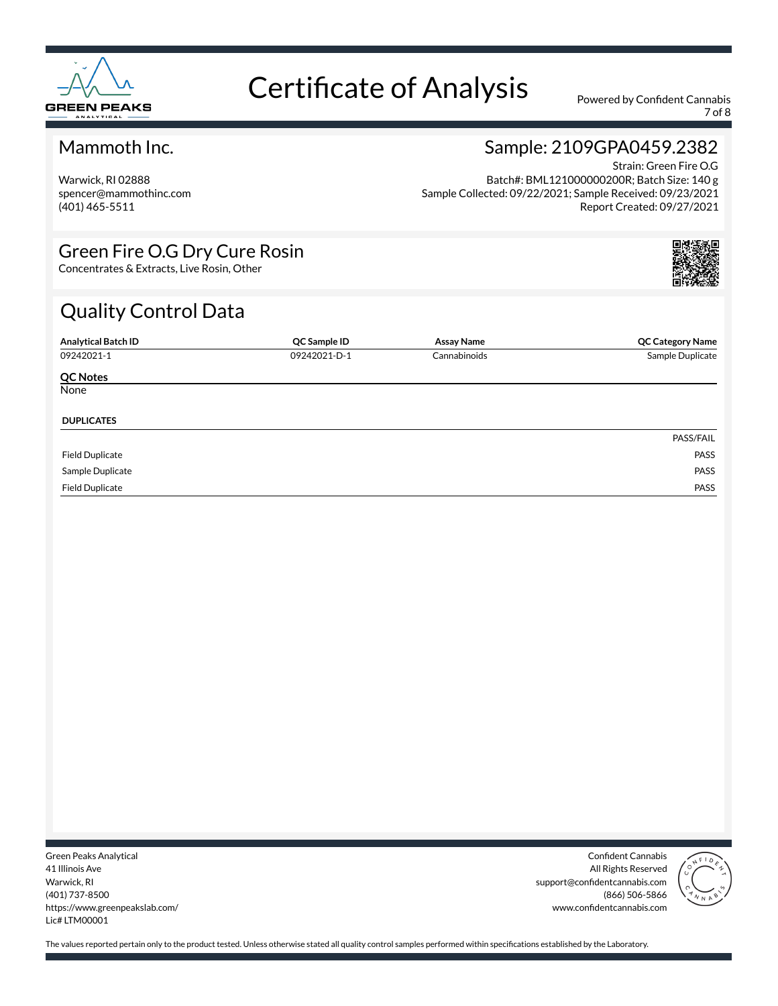

7 of 8

#### Mammoth Inc.

Warwick, RI 02888 spencer@mammothinc.com (401) 465-5511

#### Sample: 2109GPA0459.2382

Strain: Green Fire O.G Batch#: BML121000000200R; Batch Size: 140 g Sample Collected: 09/22/2021; Sample Received: 09/23/2021 Report Created: 09/27/2021

#### Green Fire O.G Dry Cure Rosin

Concentrates & Extracts, Live Rosin, Other

### Quality Control Data

| <b>Analytical Batch ID</b> | QC Sample ID | Assay Name   | <b>QC Category Name</b> |
|----------------------------|--------------|--------------|-------------------------|
| 09242021-1                 | 09242021-D-1 | Cannabinoids | Sample Duplicate        |
| <b>QC Notes</b>            |              |              |                         |
| None                       |              |              |                         |
| <b>DUPLICATES</b>          |              |              |                         |
|                            |              |              | PASS/FAIL               |
| <b>Field Duplicate</b>     |              |              | PASS                    |
| Sample Duplicate           |              |              | PASS                    |
| <b>Field Duplicate</b>     |              |              | PASS                    |

Green Peaks Analytical 41 Illinois Ave Warwick, RI (401) 737-8500 https://www.greenpeakslab.com/ Lic# LTM00001

Confident Cannabis All Rights Reserved support@confidentcannabis.com (866) 506-5866 www.confidentcannabis.com